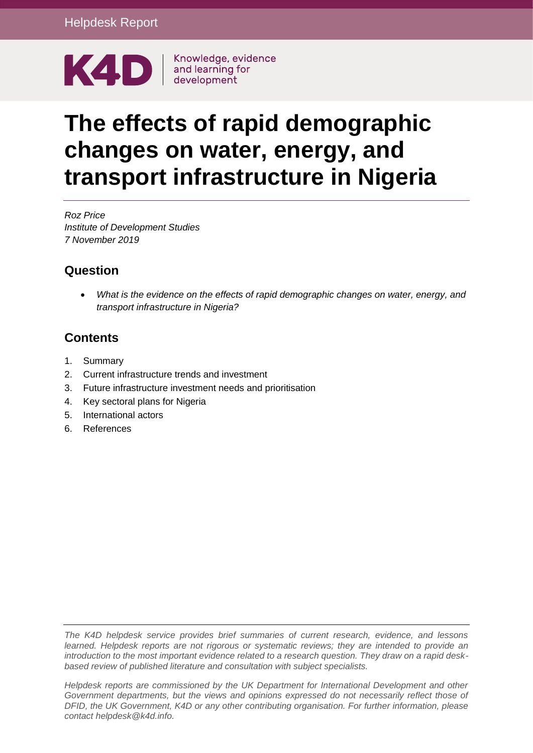

# **The effects of rapid demographic changes on water, energy, and transport infrastructure in Nigeria**

*Roz Price Institute of Development Studies 7 November 2019*

#### **Question**

 *What is the evidence on the effects of rapid demographic changes on water, energy, and transport infrastructure in Nigeria?*

## **Contents**

- 1. [Summary](#page-1-0)
- 2. [Current infrastructure trends and investment](#page-3-0)
- 3. [Future infrastructure investment needs and prioritisation](#page-6-0)
- 4. [Key sectoral plans for Nigeria](#page-12-0)
- 5. [International actors](#page-13-0)
- 6. [References](#page-14-0)

*The K4D helpdesk service provides brief summaries of current research, evidence, and lessons learned. Helpdesk reports are not rigorous or systematic reviews; they are intended to provide an introduction to the most important evidence related to a research question. They draw on a rapid deskbased review of published literature and consultation with subject specialists.* 

*Helpdesk reports are commissioned by the UK Department for International Development and other Government departments, but the views and opinions expressed do not necessarily reflect those of DFID, the UK Government, K4D or any other contributing organisation. For further information, please contact helpdesk@k4d.info.*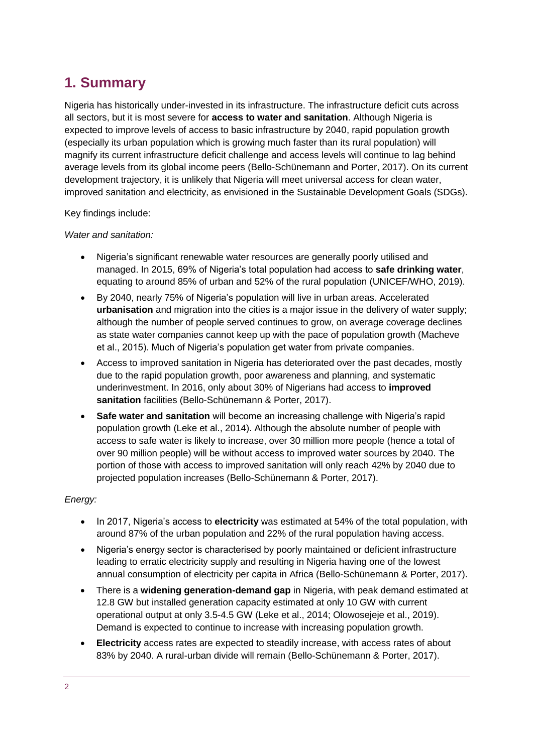# <span id="page-1-0"></span>**1. Summary**

Nigeria has historically under-invested in its infrastructure. The infrastructure deficit cuts across all sectors, but it is most severe for **access to water and sanitation**. Although Nigeria is expected to improve levels of access to basic infrastructure by 2040, rapid population growth (especially its urban population which is growing much faster than its rural population) will magnify its current infrastructure deficit challenge and access levels will continue to lag behind average levels from its global income peers (Bello-Schünemann and Porter, 2017). On its current development trajectory, it is unlikely that Nigeria will meet universal access for clean water, improved sanitation and electricity, as envisioned in the Sustainable Development Goals (SDGs).

Key findings include:

#### *Water and sanitation:*

- Nigeria's significant renewable water resources are generally poorly utilised and managed. In 2015, 69% of Nigeria's total population had access to **safe drinking water**, equating to around 85% of urban and 52% of the rural population (UNICEF/WHO, 2019).
- By 2040, nearly 75% of Nigeria's population will live in urban areas. Accelerated **urbanisation** and migration into the cities is a major issue in the delivery of water supply; although the number of people served continues to grow, on average coverage declines as state water companies cannot keep up with the pace of population growth (Macheve et al., 2015). Much of Nigeria's population get water from private companies.
- Access to improved sanitation in Nigeria has deteriorated over the past decades, mostly due to the rapid population growth, poor awareness and planning, and systematic underinvestment. In 2016, only about 30% of Nigerians had access to **improved sanitation** facilities (Bello-Schünemann & Porter, 2017).
- **Safe water and sanitation** will become an increasing challenge with Nigeria's rapid population growth (Leke et al., 2014). Although the absolute number of people with access to safe water is likely to increase, over 30 million more people (hence a total of over 90 million people) will be without access to improved water sources by 2040. The portion of those with access to improved sanitation will only reach 42% by 2040 due to projected population increases (Bello-Schünemann & Porter, 2017).

#### *Energy:*

- In 2017, Nigeria's access to **electricity** was estimated at 54% of the total population, with around 87% of the urban population and 22% of the rural population having access.
- Nigeria's energy sector is characterised by poorly maintained or deficient infrastructure leading to erratic electricity supply and resulting in Nigeria having one of the lowest annual consumption of electricity per capita in Africa (Bello-Schünemann & Porter, 2017).
- There is a **widening generation-demand gap** in Nigeria, with peak demand estimated at 12.8 GW but installed generation capacity estimated at only 10 GW with current operational output at only 3.5-4.5 GW (Leke et al., 2014; Olowosejeje et al., 2019). Demand is expected to continue to increase with increasing population growth.
- **Electricity** access rates are expected to steadily increase, with access rates of about 83% by 2040. A rural-urban divide will remain (Bello-Schünemann & Porter, 2017).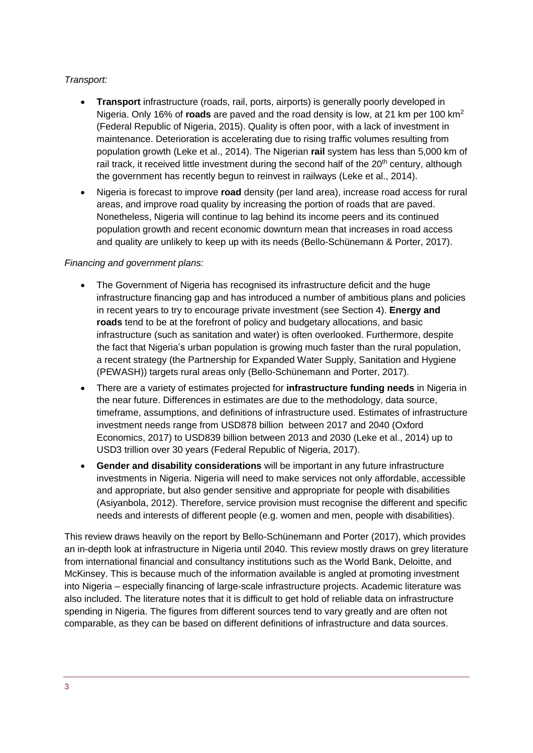#### *Transport:*

- **Transport** infrastructure (roads, rail, ports, airports) is generally poorly developed in Nigeria. Only 16% of **roads** are paved and the road density is low, at 21 km per 100 km<sup>2</sup> (Federal Republic of Nigeria, 2015). Quality is often poor, with a lack of investment in maintenance. Deterioration is accelerating due to rising traffic volumes resulting from population growth (Leke et al., 2014). The Nigerian **rail** system has less than 5,000 km of rail track, it received little investment during the second half of the 20<sup>th</sup> century, although the government has recently begun to reinvest in railways (Leke et al., 2014).
- Nigeria is forecast to improve **road** density (per land area), increase road access for rural areas, and improve road quality by increasing the portion of roads that are paved. Nonetheless, Nigeria will continue to lag behind its income peers and its continued population growth and recent economic downturn mean that increases in road access and quality are unlikely to keep up with its needs (Bello-Schünemann & Porter, 2017).

#### *Financing and government plans:*

- The Government of Nigeria has recognised its infrastructure deficit and the huge infrastructure financing gap and has introduced a number of ambitious plans and policies in recent years to try to encourage private investment (see Section 4). **Energy and roads** tend to be at the forefront of policy and budgetary allocations, and basic infrastructure (such as sanitation and water) is often overlooked. Furthermore, despite the fact that Nigeria's urban population is growing much faster than the rural population, a recent strategy (the Partnership for Expanded Water Supply, Sanitation and Hygiene (PEWASH)) targets rural areas only (Bello-Schünemann and Porter, 2017).
- There are a variety of estimates projected for **infrastructure funding needs** in Nigeria in the near future. Differences in estimates are due to the methodology, data source, timeframe, assumptions, and definitions of infrastructure used. Estimates of infrastructure investment needs range from USD878 billion between 2017 and 2040 (Oxford Economics, 2017) to USD839 billion between 2013 and 2030 (Leke et al., 2014) up to USD3 trillion over 30 years (Federal Republic of Nigeria, 2017).
- **Gender and disability considerations** will be important in any future infrastructure investments in Nigeria. Nigeria will need to make services not only affordable, accessible and appropriate, but also gender sensitive and appropriate for people with disabilities (Asiyanbola, 2012). Therefore, service provision must recognise the different and specific needs and interests of different people (e.g. women and men, people with disabilities).

This review draws heavily on the report by Bello-Schünemann and Porter (2017), which provides an in-depth look at infrastructure in Nigeria until 2040. This review mostly draws on grey literature from international financial and consultancy institutions such as the World Bank, Deloitte, and McKinsey. This is because much of the information available is angled at promoting investment into Nigeria – especially financing of large-scale infrastructure projects. Academic literature was also included. The literature notes that it is difficult to get hold of reliable data on infrastructure spending in Nigeria. The figures from different sources tend to vary greatly and are often not comparable, as they can be based on different definitions of infrastructure and data sources.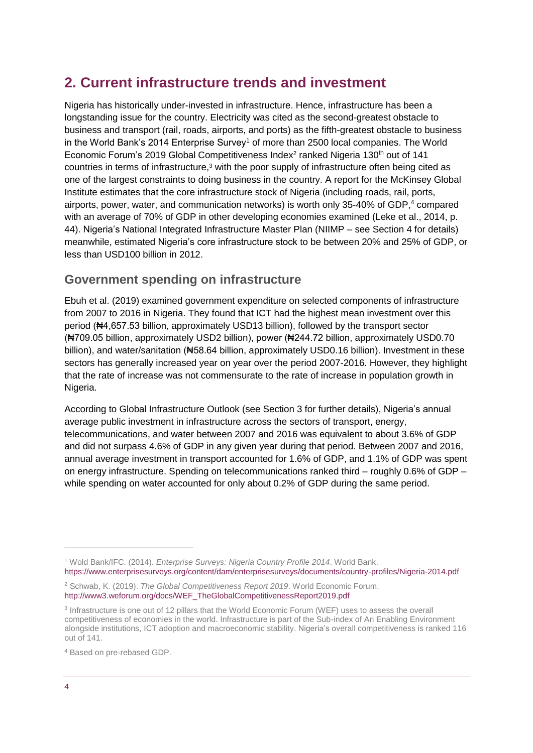## <span id="page-3-0"></span>**2. Current infrastructure trends and investment**

Nigeria has historically under-invested in infrastructure. Hence, infrastructure has been a longstanding issue for the country. Electricity was cited as the second-greatest obstacle to business and transport (rail, roads, airports, and ports) as the fifth-greatest obstacle to business in the World Bank's 2014 Enterprise Survey<sup>1</sup> of more than 2500 local companies. The World Economic Forum's 2019 Global Competitiveness Index<sup>2</sup> ranked Nigeria 130<sup>th</sup> out of 141 countries in terms of infrastructure, <sup>3</sup> with the poor supply of infrastructure often being cited as one of the largest constraints to doing business in the country. A report for the McKinsey Global Institute estimates that the core infrastructure stock of Nigeria (including roads, rail, ports, airports, power, water, and communication networks) is worth only 35-40% of GDP, <sup>4</sup> compared with an average of 70% of GDP in other developing economies examined (Leke et al., 2014, p. 44). Nigeria's National Integrated Infrastructure Master Plan (NIIMP – see Section 4 for details) meanwhile, estimated Nigeria's core infrastructure stock to be between 20% and 25% of GDP, or less than USD100 billion in 2012.

#### **Government spending on infrastructure**

Ebuh et al. (2019) examined government expenditure on selected components of infrastructure from 2007 to 2016 in Nigeria. They found that ICT had the highest mean investment over this period (₦4,657.53 billion, approximately USD13 billion), followed by the transport sector (₦709.05 billion, approximately USD2 billion), power (₦244.72 billion, approximately USD0.70 billion), and water/sanitation (#58.64 billion, approximately USD0.16 billion). Investment in these sectors has generally increased year on year over the period 2007-2016. However, they highlight that the rate of increase was not commensurate to the rate of increase in population growth in Nigeria.

According to Global Infrastructure Outlook (see Section 3 for further details), Nigeria's annual average public investment in infrastructure across the sectors of transport, energy, telecommunications, and water between 2007 and 2016 was equivalent to about 3.6% of GDP and did not surpass 4.6% of GDP in any given year during that period. Between 2007 and 2016, annual average investment in transport accounted for 1.6% of GDP, and 1.1% of GDP was spent on energy infrastructure. Spending on telecommunications ranked third – roughly 0.6% of GDP – while spending on water accounted for only about 0.2% of GDP during the same period.

<sup>4</sup> Based on pre-rebased GDP.

1

<sup>1</sup> Wold Bank/IFC. (2014). *Enterprise Surveys: Nigeria Country Profile 2014*. World Bank. <https://www.enterprisesurveys.org/content/dam/enterprisesurveys/documents/country-profiles/Nigeria-2014.pdf>

<sup>2</sup> Schwab, K. (2019). *The Global Competitiveness Report 2019*. World Economic Forum. [http://www3.weforum.org/docs/WEF\\_TheGlobalCompetitivenessReport2019.pdf](http://www3.weforum.org/docs/WEF_TheGlobalCompetitivenessReport2019.pdf)

<sup>&</sup>lt;sup>3</sup> Infrastructure is one out of 12 pillars that the World Economic Forum (WEF) uses to assess the overall competitiveness of economies in the world. Infrastructure is part of the Sub-index of An Enabling Environment alongside institutions, ICT adoption and macroeconomic stability. Nigeria's overall competitiveness is ranked 116 out of 141.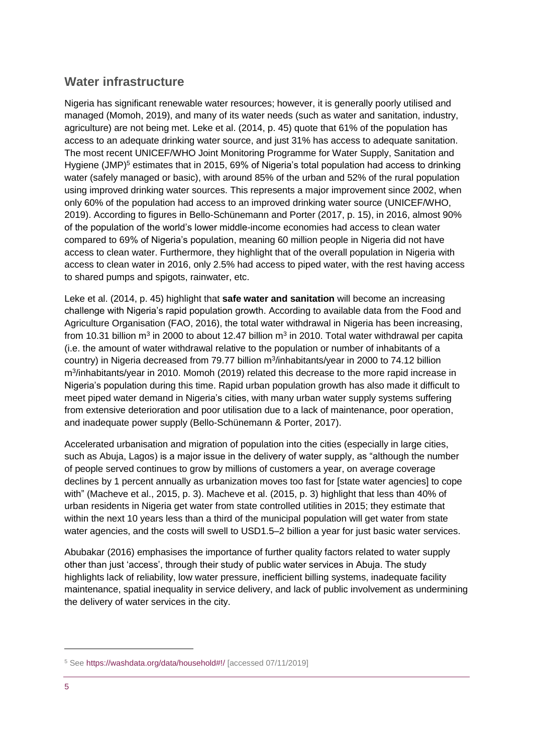#### **Water infrastructure**

Nigeria has significant renewable water resources; however, it is generally poorly utilised and managed (Momoh, 2019), and many of its water needs (such as water and sanitation, industry, agriculture) are not being met. Leke et al. (2014, p. 45) quote that 61% of the population has access to an adequate drinking water source, and just 31% has access to adequate sanitation. The most recent UNICEF/WHO Joint Monitoring Programme for Water Supply, Sanitation and Hygiene (JMP)<sup>5</sup> estimates that in 2015, 69% of Nigeria's total population had access to drinking water (safely managed or basic), with around 85% of the urban and 52% of the rural population using improved drinking water sources. This represents a major improvement since 2002, when only 60% of the population had access to an improved drinking water source (UNICEF/WHO, 2019). According to figures in Bello-Schünemann and Porter (2017, p. 15), in 2016, almost 90% of the population of the world's lower middle-income economies had access to clean water compared to 69% of Nigeria's population, meaning 60 million people in Nigeria did not have access to clean water. Furthermore, they highlight that of the overall population in Nigeria with access to clean water in 2016, only 2.5% had access to piped water, with the rest having access to shared pumps and spigots, rainwater, etc.

Leke et al. (2014, p. 45) highlight that **safe water and sanitation** will become an increasing challenge with Nigeria's rapid population growth. According to available data from the Food and Agriculture Organisation (FAO, 2016), the total water withdrawal in Nigeria has been increasing, from 10.31 billion m<sup>3</sup> in 2000 to about 12.47 billion m<sup>3</sup> in 2010. Total water withdrawal per capita (i.e. the amount of water withdrawal relative to the population or number of inhabitants of a country) in Nigeria decreased from 79.77 billion m<sup>3</sup>/inhabitants/year in 2000 to 74.12 billion m<sup>3</sup>/inhabitants/year in 2010. Momoh (2019) related this decrease to the more rapid increase in Nigeria's population during this time. Rapid urban population growth has also made it difficult to meet piped water demand in Nigeria's cities, with many urban water supply systems suffering from extensive deterioration and poor utilisation due to a lack of maintenance, poor operation, and inadequate power supply (Bello-Schünemann & Porter, 2017).

Accelerated urbanisation and migration of population into the cities (especially in large cities, such as Abuja, Lagos) is a major issue in the delivery of water supply, as "although the number of people served continues to grow by millions of customers a year, on average coverage declines by 1 percent annually as urbanization moves too fast for [state water agencies] to cope with" (Macheve et al., 2015, p. 3). Macheve et al. (2015, p. 3) highlight that less than 40% of urban residents in Nigeria get water from state controlled utilities in 2015; they estimate that within the next 10 years less than a third of the municipal population will get water from state water agencies, and the costs will swell to USD1.5–2 billion a year for just basic water services.

Abubakar (2016) emphasises the importance of further quality factors related to water supply other than just 'access', through their study of public water services in Abuja. The study highlights lack of reliability, low water pressure, inefficient billing systems, inadequate facility maintenance, spatial inequality in service delivery, and lack of public involvement as undermining the delivery of water services in the city.

1

<sup>5</sup> See<https://washdata.org/data/household#!/> [accessed 07/11/2019]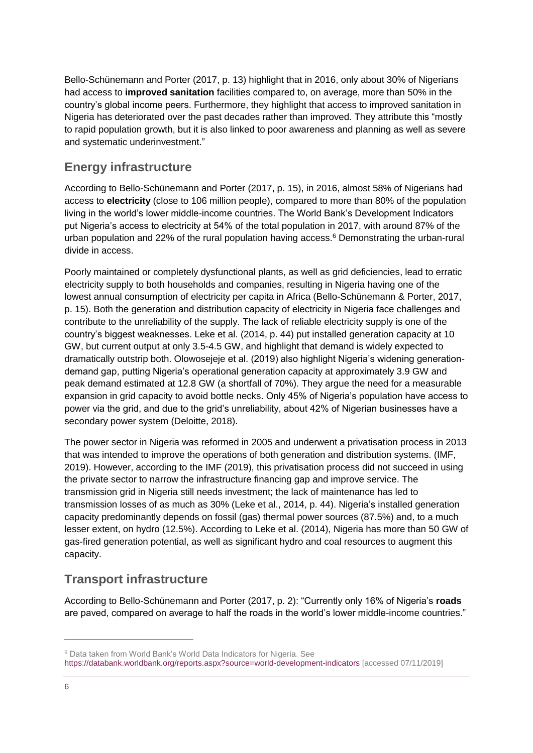Bello-Schünemann and Porter (2017, p. 13) highlight that in 2016, only about 30% of Nigerians had access to **improved sanitation** facilities compared to, on average, more than 50% in the country's global income peers. Furthermore, they highlight that access to improved sanitation in Nigeria has deteriorated over the past decades rather than improved. They attribute this "mostly to rapid population growth, but it is also linked to poor awareness and planning as well as severe and systematic underinvestment."

### **Energy infrastructure**

According to Bello-Schünemann and Porter (2017, p. 15), in 2016, almost 58% of Nigerians had access to **electricity** (close to 106 million people), compared to more than 80% of the population living in the world's lower middle-income countries. The World Bank's Development Indicators put Nigeria's access to electricity at 54% of the total population in 2017, with around 87% of the urban population and 22% of the rural population having access.<sup>6</sup> Demonstrating the urban-rural divide in access.

Poorly maintained or completely dysfunctional plants, as well as grid deficiencies, lead to erratic electricity supply to both households and companies, resulting in Nigeria having one of the lowest annual consumption of electricity per capita in Africa (Bello-Schünemann & Porter, 2017, p. 15). Both the generation and distribution capacity of electricity in Nigeria face challenges and contribute to the unreliability of the supply. The lack of reliable electricity supply is one of the country's biggest weaknesses. Leke et al. (2014, p. 44) put installed generation capacity at 10 GW, but current output at only 3.5-4.5 GW, and highlight that demand is widely expected to dramatically outstrip both. Olowosejeje et al. (2019) also highlight Nigeria's widening generationdemand gap, putting Nigeria's operational generation capacity at approximately 3.9 GW and peak demand estimated at 12.8 GW (a shortfall of 70%). They argue the need for a measurable expansion in grid capacity to avoid bottle necks. Only 45% of Nigeria's population have access to power via the grid, and due to the grid's unreliability, about 42% of Nigerian businesses have a secondary power system (Deloitte, 2018).

The power sector in Nigeria was reformed in 2005 and underwent a privatisation process in 2013 that was intended to improve the operations of both generation and distribution systems. (IMF, 2019). However, according to the IMF (2019), this privatisation process did not succeed in using the private sector to narrow the infrastructure financing gap and improve service. The transmission grid in Nigeria still needs investment; the lack of maintenance has led to transmission losses of as much as 30% (Leke et al., 2014, p. 44). Nigeria's installed generation capacity predominantly depends on fossil (gas) thermal power sources (87.5%) and, to a much lesser extent, on hydro (12.5%). According to Leke et al. (2014), Nigeria has more than 50 GW of gas-fired generation potential, as well as significant hydro and coal resources to augment this capacity.

#### **Transport infrastructure**

According to Bello-Schünemann and Porter (2017, p. 2): "Currently only 16% of Nigeria's **roads** are paved, compared on average to half the roads in the world's lower middle-income countries."

-

<sup>6</sup> Data taken from World Bank's World Data Indicators for Nigeria. See <https://databank.worldbank.org/reports.aspx?source=world-development-indicators> [accessed 07/11/2019]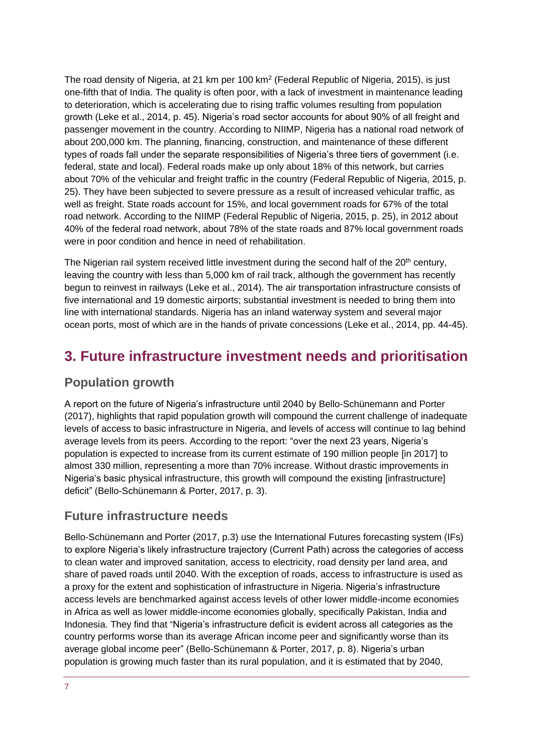The road density of Nigeria, at 21 km per 100 km<sup>2</sup> (Federal Republic of Nigeria, 2015), is just one-fifth that of India. The quality is often poor, with a lack of investment in maintenance leading to deterioration, which is accelerating due to rising traffic volumes resulting from population growth (Leke et al., 2014, p. 45). Nigeria's road sector accounts for about 90% of all freight and passenger movement in the country. According to NIIMP, Nigeria has a national road network of about 200,000 km. The planning, financing, construction, and maintenance of these different types of roads fall under the separate responsibilities of Nigeria's three tiers of government (i.e. federal, state and local). Federal roads make up only about 18% of this network, but carries about 70% of the vehicular and freight traffic in the country (Federal Republic of Nigeria, 2015, p. 25). They have been subjected to severe pressure as a result of increased vehicular traffic, as well as freight. State roads account for 15%, and local government roads for 67% of the total road network. According to the NIIMP (Federal Republic of Nigeria, 2015, p. 25), in 2012 about 40% of the federal road network, about 78% of the state roads and 87% local government roads were in poor condition and hence in need of rehabilitation.

The Nigerian rail system received little investment during the second half of the 20<sup>th</sup> century, leaving the country with less than 5,000 km of rail track, although the government has recently begun to reinvest in railways (Leke et al., 2014). The air transportation infrastructure consists of five international and 19 domestic airports; substantial investment is needed to bring them into line with international standards. Nigeria has an inland waterway system and several major ocean ports, most of which are in the hands of private concessions (Leke et al., 2014, pp. 44-45).

# <span id="page-6-0"></span>**3. Future infrastructure investment needs and prioritisation**

#### **Population growth**

A report on the future of Nigeria's infrastructure until 2040 by Bello-Schünemann and Porter (2017), highlights that rapid population growth will compound the current challenge of inadequate levels of access to basic infrastructure in Nigeria, and levels of access will continue to lag behind average levels from its peers. According to the report: "over the next 23 years, Nigeria's population is expected to increase from its current estimate of 190 million people [in 2017] to almost 330 million, representing a more than 70% increase. Without drastic improvements in Nigeria's basic physical infrastructure, this growth will compound the existing [infrastructure] deficit" (Bello-Schünemann & Porter, 2017, p. 3).

#### **Future infrastructure needs**

Bello-Schünemann and Porter (2017, p.3) use the International Futures forecasting system (IFs) to explore Nigeria's likely infrastructure trajectory (Current Path) across the categories of access to clean water and improved sanitation, access to electricity, road density per land area, and share of paved roads until 2040. With the exception of roads, access to infrastructure is used as a proxy for the extent and sophistication of infrastructure in Nigeria. Nigeria's infrastructure access levels are benchmarked against access levels of other lower middle-income economies in Africa as well as lower middle-income economies globally, specifically Pakistan, India and Indonesia. They find that "Nigeria's infrastructure deficit is evident across all categories as the country performs worse than its average African income peer and significantly worse than its average global income peer" (Bello-Schünemann & Porter, 2017, p. 8). Nigeria's urban population is growing much faster than its rural population, and it is estimated that by 2040,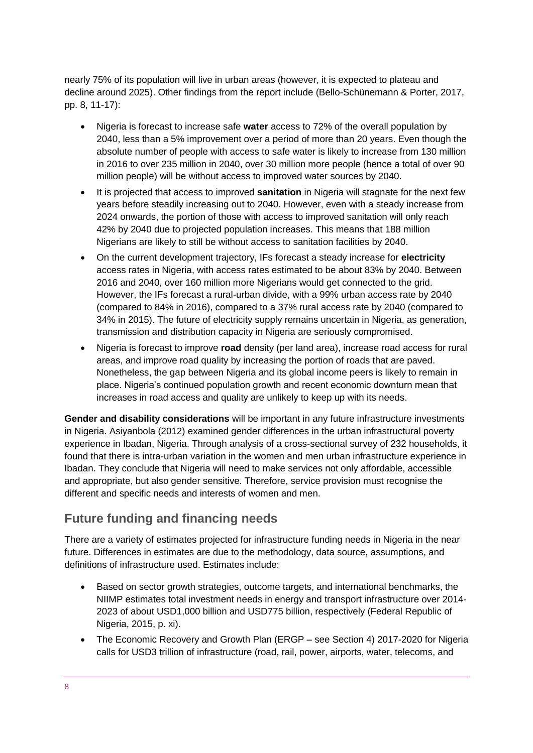nearly 75% of its population will live in urban areas (however, it is expected to plateau and decline around 2025). Other findings from the report include (Bello-Schünemann & Porter, 2017, pp. 8, 11-17):

- Nigeria is forecast to increase safe **water** access to 72% of the overall population by 2040, less than a 5% improvement over a period of more than 20 years. Even though the absolute number of people with access to safe water is likely to increase from 130 million in 2016 to over 235 million in 2040, over 30 million more people (hence a total of over 90 million people) will be without access to improved water sources by 2040.
- It is projected that access to improved **sanitation** in Nigeria will stagnate for the next few years before steadily increasing out to 2040. However, even with a steady increase from 2024 onwards, the portion of those with access to improved sanitation will only reach 42% by 2040 due to projected population increases. This means that 188 million Nigerians are likely to still be without access to sanitation facilities by 2040.
- On the current development trajectory, IFs forecast a steady increase for **electricity** access rates in Nigeria, with access rates estimated to be about 83% by 2040. Between 2016 and 2040, over 160 million more Nigerians would get connected to the grid. However, the IFs forecast a rural-urban divide, with a 99% urban access rate by 2040 (compared to 84% in 2016), compared to a 37% rural access rate by 2040 (compared to 34% in 2015). The future of electricity supply remains uncertain in Nigeria, as generation, transmission and distribution capacity in Nigeria are seriously compromised.
- Nigeria is forecast to improve **road** density (per land area), increase road access for rural areas, and improve road quality by increasing the portion of roads that are paved. Nonetheless, the gap between Nigeria and its global income peers is likely to remain in place. Nigeria's continued population growth and recent economic downturn mean that increases in road access and quality are unlikely to keep up with its needs.

**Gender and disability considerations** will be important in any future infrastructure investments in Nigeria. Asiyanbola (2012) examined gender differences in the urban infrastructural poverty experience in Ibadan, Nigeria. Through analysis of a cross-sectional survey of 232 households, it found that there is intra-urban variation in the women and men urban infrastructure experience in Ibadan. They conclude that Nigeria will need to make services not only affordable, accessible and appropriate, but also gender sensitive. Therefore, service provision must recognise the different and specific needs and interests of women and men.

## **Future funding and financing needs**

There are a variety of estimates projected for infrastructure funding needs in Nigeria in the near future. Differences in estimates are due to the methodology, data source, assumptions, and definitions of infrastructure used. Estimates include:

- Based on sector growth strategies, outcome targets, and international benchmarks, the NIIMP estimates total investment needs in energy and transport infrastructure over 2014- 2023 of about USD1,000 billion and USD775 billion, respectively (Federal Republic of Nigeria, 2015, p. xi).
- The Economic Recovery and Growth Plan (ERGP see Section 4) 2017-2020 for Nigeria calls for USD3 trillion of infrastructure (road, rail, power, airports, water, telecoms, and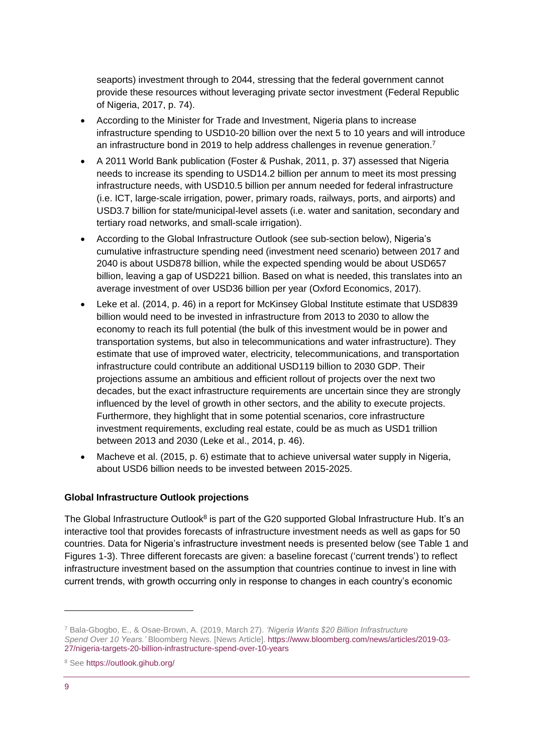seaports) investment through to 2044, stressing that the federal government cannot provide these resources without leveraging private sector investment (Federal Republic of Nigeria, 2017, p. 74).

- According to the Minister for Trade and Investment, Nigeria plans to increase infrastructure spending to USD10-20 billion over the next 5 to 10 years and will introduce an infrastructure bond in 2019 to help address challenges in revenue generation.<sup>7</sup>
- A 2011 World Bank publication (Foster & Pushak, 2011, p. 37) assessed that Nigeria needs to increase its spending to USD14.2 billion per annum to meet its most pressing infrastructure needs, with USD10.5 billion per annum needed for federal infrastructure (i.e. ICT, large-scale irrigation, power, primary roads, railways, ports, and airports) and USD3.7 billion for state/municipal-level assets (i.e. water and sanitation, secondary and tertiary road networks, and small-scale irrigation).
- According to the Global Infrastructure Outlook (see sub-section below), Nigeria's cumulative infrastructure spending need (investment need scenario) between 2017 and 2040 is about USD878 billion, while the expected spending would be about USD657 billion, leaving a gap of USD221 billion. Based on what is needed, this translates into an average investment of over USD36 billion per year (Oxford Economics, 2017).
- Leke et al. (2014, p. 46) in a report for McKinsey Global Institute estimate that USD839 billion would need to be invested in infrastructure from 2013 to 2030 to allow the economy to reach its full potential (the bulk of this investment would be in power and transportation systems, but also in telecommunications and water infrastructure). They estimate that use of improved water, electricity, telecommunications, and transportation infrastructure could contribute an additional USD119 billion to 2030 GDP. Their projections assume an ambitious and efficient rollout of projects over the next two decades, but the exact infrastructure requirements are uncertain since they are strongly influenced by the level of growth in other sectors, and the ability to execute projects. Furthermore, they highlight that in some potential scenarios, core infrastructure investment requirements, excluding real estate, could be as much as USD1 trillion between 2013 and 2030 (Leke et al., 2014, p. 46).
- Macheve et al. (2015, p. 6) estimate that to achieve universal water supply in Nigeria, about USD6 billion needs to be invested between 2015-2025.

#### **Global Infrastructure Outlook projections**

The Global Infrastructure Outlook<sup>8</sup> is part of the G20 supported Global Infrastructure Hub. It's an interactive tool that provides forecasts of infrastructure investment needs as well as gaps for 50 countries. Data for Nigeria's infrastructure investment needs is presented below (see Table 1 and Figures 1-3). Three different forecasts are given: a baseline forecast ('current trends') to reflect infrastructure investment based on the assumption that countries continue to invest in line with current trends, with growth occurring only in response to changes in each country's economic

-

<sup>7</sup> Bala-Gbogbo, E., & Osae-Brown, A. (2019, March 27). *'Nigeria Wants \$20 Billion Infrastructure Spend Over 10 Years.'* Bloomberg News. [News Article]. [https://www.bloomberg.com/news/articles/2019-03-](https://www.bloomberg.com/news/articles/2019-03-27/nigeria-targets-20-billion-infrastructure-spend-over-10-years) [27/nigeria-targets-20-billion-infrastructure-spend-over-10-years](https://www.bloomberg.com/news/articles/2019-03-27/nigeria-targets-20-billion-infrastructure-spend-over-10-years)

<sup>8</sup> See<https://outlook.gihub.org/>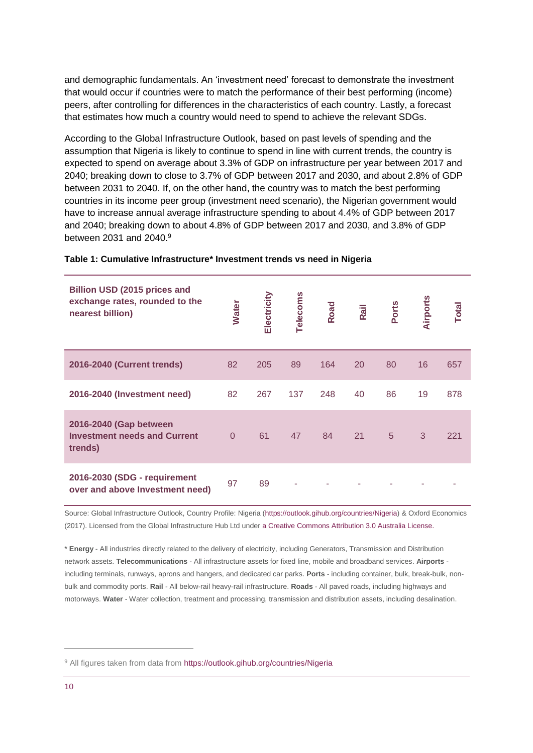and demographic fundamentals. An 'investment need' forecast to demonstrate the investment that would occur if countries were to match the performance of their best performing (income) peers, after controlling for differences in the characteristics of each country. Lastly, a forecast that estimates how much a country would need to spend to achieve the relevant SDGs.

According to the Global Infrastructure Outlook, based on past levels of spending and the assumption that Nigeria is likely to continue to spend in line with current trends, the country is expected to spend on average about 3.3% of GDP on infrastructure per year between 2017 and 2040; breaking down to close to 3.7% of GDP between 2017 and 2030, and about 2.8% of GDP between 2031 to 2040. If, on the other hand, the country was to match the best performing countries in its income peer group (investment need scenario), the Nigerian government would have to increase annual average infrastructure spending to about 4.4% of GDP between 2017 and 2040; breaking down to about 4.8% of GDP between 2017 and 2030, and 3.8% of GDP between 2031 and 2040. 9

| Billion USD (2015 prices and<br>exchange rates, rounded to the<br>nearest billion) | <b>Water</b> | Electricity | Telecoms | Road | Rail | Ports | Airports | <b>Total</b> |
|------------------------------------------------------------------------------------|--------------|-------------|----------|------|------|-------|----------|--------------|
| 2016-2040 (Current trends)                                                         | 82           | 205         | 89       | 164  | 20   | 80    | 16       | 657          |
| 2016-2040 (Investment need)                                                        | 82           | 267         | 137      | 248  | 40   | 86    | 19       | 878          |
| 2016-2040 (Gap between<br><b>Investment needs and Current</b><br>trends)           | $\Omega$     | 61          | 47       | 84   | 21   | 5     | 3        | 221          |
| 2016-2030 (SDG - requirement<br>over and above Investment need)                    | 97           | 89          |          |      |      |       |          |              |

#### **Table 1: Cumulative Infrastructure\* Investment trends vs need in Nigeria**

Source: Global Infrastructure Outlook, Country Profile: Nigeria [\(https://outlook.gihub.org/countries/Nigeria\)](https://outlook.gihub.org/countries/Nigeria) & Oxford Economics (2017). Licensed from the Global Infrastructure Hub Ltd under [a Creative Commons Attribution 3.0 Australia License.](https://creativecommons.org/licenses/by/3.0/au/)

\* **Energy** - All industries directly related to the delivery of electricity, including Generators, Transmission and Distribution network assets. **Telecommunications** - All infrastructure assets for fixed line, mobile and broadband services. **Airports** including terminals, runways, aprons and hangers, and dedicated car parks. **Ports** - including container, bulk, break-bulk, nonbulk and commodity ports. **Rail** - All below-rail heavy-rail infrastructure. **Roads** - All paved roads, including highways and motorways. **Water** - Water collection, treatment and processing, transmission and distribution assets, including desalination.

1

<sup>&</sup>lt;sup>9</sup> All figures taken from data from<https://outlook.gihub.org/countries/Nigeria>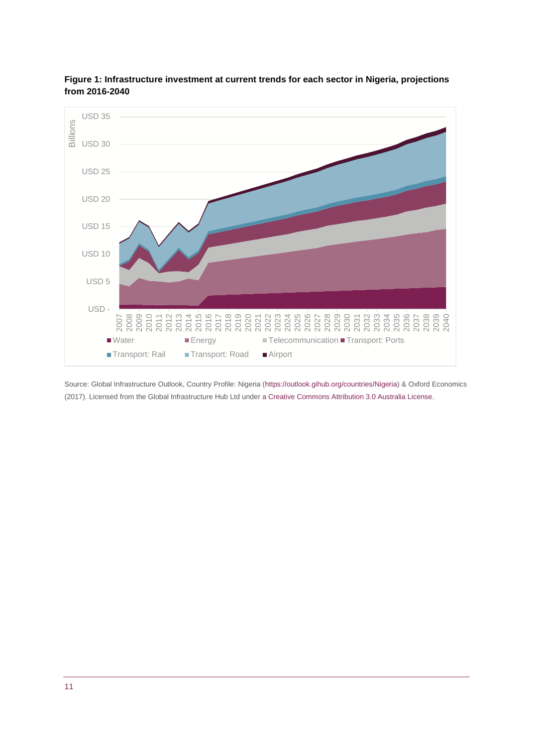

**Figure 1: Infrastructure investment at current trends for each sector in Nigeria, projections from 2016-2040**

Source: Global Infrastructure Outlook, Country Profile: Nigeria [\(https://outlook.gihub.org/countries/Nigeria\)](https://outlook.gihub.org/countries/Nigeria) & Oxford Economics (2017). Licensed from the Global Infrastructure Hub Ltd under [a Creative Commons Attribution 3.0 Australia License.](https://creativecommons.org/licenses/by/3.0/au/)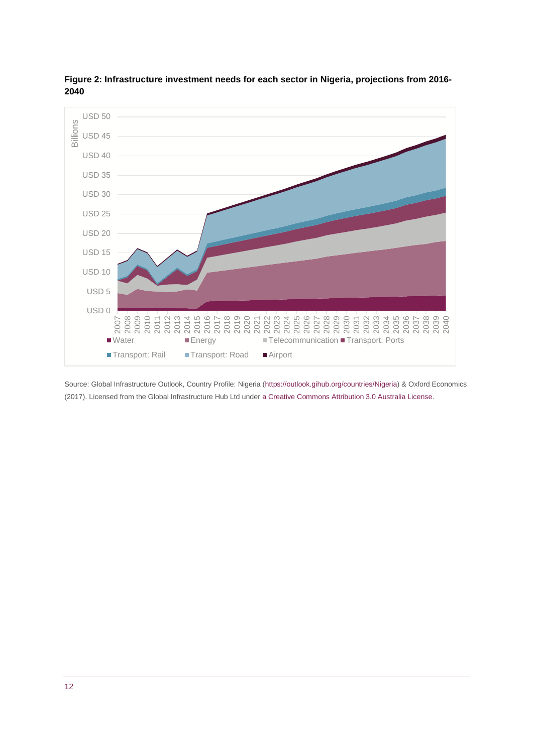

**Figure 2: Infrastructure investment needs for each sector in Nigeria, projections from 2016-** 

Source: Global Infrastructure Outlook, Country Profile: Nigeria [\(https://outlook.gihub.org/countries/Nigeria\)](https://outlook.gihub.org/countries/Nigeria) & Oxford Economics (2017). Licensed from the Global Infrastructure Hub Ltd under [a Creative Commons Attribution 3.0 Australia License.](https://creativecommons.org/licenses/by/3.0/au/)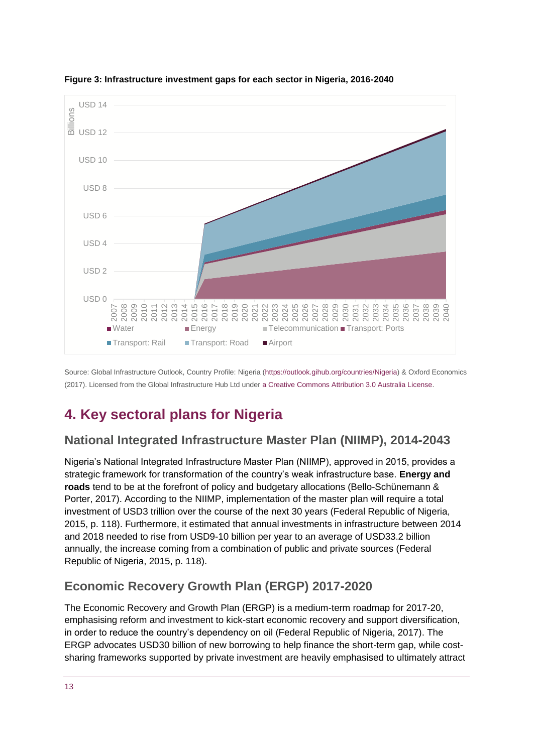

**Figure 3: Infrastructure investment gaps for each sector in Nigeria, 2016-2040**

Source: Global Infrastructure Outlook, Country Profile: Nigeria [\(https://outlook.gihub.org/countries/Nigeria\)](https://outlook.gihub.org/countries/Nigeria) & Oxford Economics (2017). Licensed from the Global Infrastructure Hub Ltd under [a Creative Commons Attribution 3.0 Australia License.](https://creativecommons.org/licenses/by/3.0/au/)

# <span id="page-12-0"></span>**4. Key sectoral plans for Nigeria**

#### **National Integrated Infrastructure Master Plan (NIIMP), 2014-2043**

Nigeria's National Integrated Infrastructure Master Plan (NIIMP), approved in 2015, provides a strategic framework for transformation of the country's weak infrastructure base. **Energy and roads** tend to be at the forefront of policy and budgetary allocations (Bello-Schünemann & Porter, 2017). According to the NIIMP, implementation of the master plan will require a total investment of USD3 trillion over the course of the next 30 years (Federal Republic of Nigeria, 2015, p. 118). Furthermore, it estimated that annual investments in infrastructure between 2014 and 2018 needed to rise from USD9-10 billion per year to an average of USD33.2 billion annually, the increase coming from a combination of public and private sources (Federal Republic of Nigeria, 2015, p. 118).

## **Economic Recovery Growth Plan (ERGP) 2017-2020**

The Economic Recovery and Growth Plan (ERGP) is a medium-term roadmap for 2017-20, emphasising reform and investment to kick-start economic recovery and support diversification, in order to reduce the country's dependency on oil (Federal Republic of Nigeria, 2017). The ERGP advocates USD30 billion of new borrowing to help finance the short-term gap, while costsharing frameworks supported by private investment are heavily emphasised to ultimately attract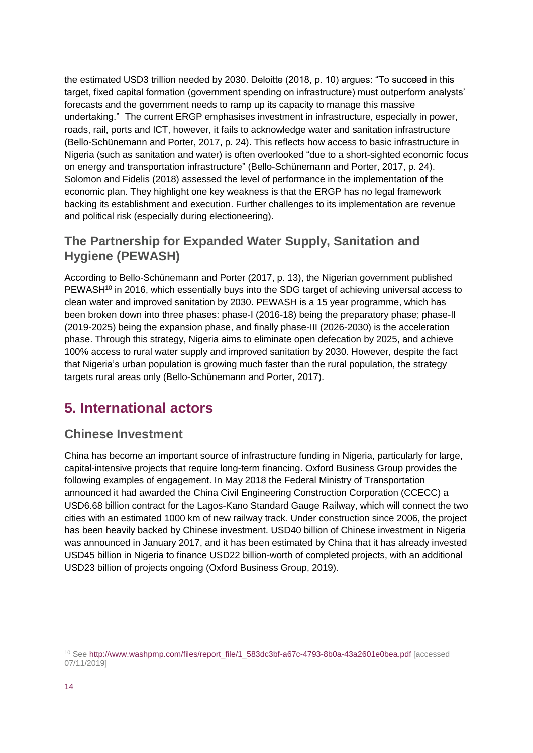the estimated USD3 trillion needed by 2030. Deloitte (2018, p. 10) argues: "To succeed in this target, fixed capital formation (government spending on infrastructure) must outperform analysts' forecasts and the government needs to ramp up its capacity to manage this massive undertaking." The current ERGP emphasises investment in infrastructure, especially in power, roads, rail, ports and ICT, however, it fails to acknowledge water and sanitation infrastructure (Bello-Schünemann and Porter, 2017, p. 24). This reflects how access to basic infrastructure in Nigeria (such as sanitation and water) is often overlooked "due to a short-sighted economic focus on energy and transportation infrastructure" (Bello-Schünemann and Porter, 2017, p. 24). Solomon and Fidelis (2018) assessed the level of performance in the implementation of the economic plan. They highlight one key weakness is that the ERGP has no legal framework backing its establishment and execution. Further challenges to its implementation are revenue and political risk (especially during electioneering).

#### **The Partnership for Expanded Water Supply, Sanitation and Hygiene (PEWASH)**

According to Bello-Schünemann and Porter (2017, p. 13), the Nigerian government published PEWASH<sup>10</sup> in 2016, which essentially buys into the SDG target of achieving universal access to clean water and improved sanitation by 2030. PEWASH is a 15 year programme, which has been broken down into three phases: phase-I (2016-18) being the preparatory phase; phase-II (2019-2025) being the expansion phase, and finally phase-III (2026-2030) is the acceleration phase. Through this strategy, Nigeria aims to eliminate open defecation by 2025, and achieve 100% access to rural water supply and improved sanitation by 2030. However, despite the fact that Nigeria's urban population is growing much faster than the rural population, the strategy targets rural areas only (Bello-Schünemann and Porter, 2017).

# <span id="page-13-0"></span>**5. International actors**

#### **Chinese Investment**

China has become an important source of infrastructure funding in Nigeria, particularly for large, capital-intensive projects that require long-term financing. Oxford Business Group provides the following examples of engagement. In May 2018 the Federal Ministry of Transportation announced it had awarded the China Civil Engineering Construction Corporation (CCECC) a USD6.68 billion contract for the Lagos-Kano Standard Gauge Railway, which will connect the two cities with an estimated 1000 km of new railway track. Under construction since 2006, the project has been heavily backed by Chinese investment. USD40 billion of Chinese investment in Nigeria was announced in January 2017, and it has been estimated by China that it has already invested USD45 billion in Nigeria to finance USD22 billion-worth of completed projects, with an additional USD23 billion of projects ongoing (Oxford Business Group, 2019).

-

<sup>10</sup> Se[e http://www.washpmp.com/files/report\\_file/1\\_583dc3bf-a67c-4793-8b0a-43a2601e0bea.pdf](http://www.washpmp.com/files/report_file/1_583dc3bf-a67c-4793-8b0a-43a2601e0bea.pdf) [accessed 07/11/2019]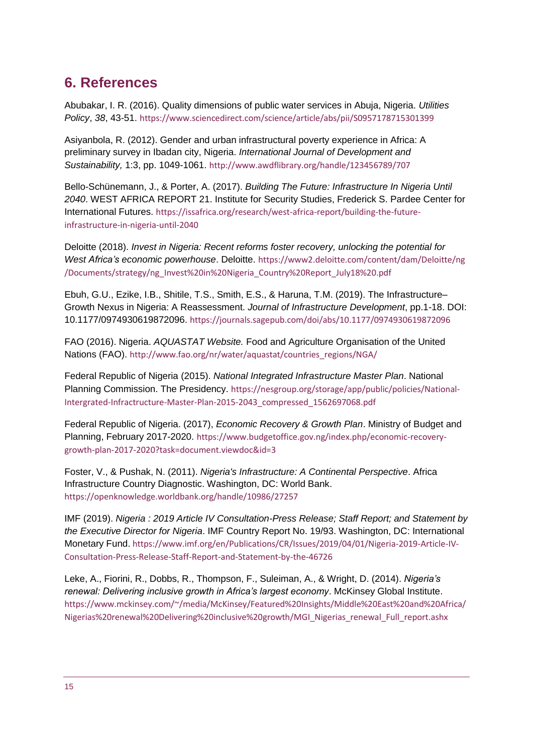# <span id="page-14-0"></span>**6. References**

Abubakar, I. R. (2016). Quality dimensions of public water services in Abuja, Nigeria. *Utilities Policy*, *38*, 43-51. <https://www.sciencedirect.com/science/article/abs/pii/S0957178715301399>

Asiyanbola, R. (2012). Gender and urban infrastructural poverty experience in Africa: A preliminary survey in Ibadan city, Nigeria. *International Journal of Development and Sustainability,* 1:3, pp. 1049-1061. <http://www.awdflibrary.org/handle/123456789/707>

Bello-Schünemann, J., & Porter, A. (2017). *Building The Future: Infrastructure In Nigeria Until 2040*. WEST AFRICA REPORT 21. Institute for Security Studies, Frederick S. Pardee Center for International Futures. [https://issafrica.org/research/west-africa-report/building-the-future](https://issafrica.org/research/west-africa-report/building-the-future-infrastructure-in-nigeria-until-2040)[infrastructure-in-nigeria-until-2040](https://issafrica.org/research/west-africa-report/building-the-future-infrastructure-in-nigeria-until-2040)

Deloitte (2018). *Invest in Nigeria: Recent reforms foster recovery, unlocking the potential for West Africa's economic powerhouse*. Deloitte. [https://www2.deloitte.com/content/dam/Deloitte/ng](https://www2.deloitte.com/content/dam/Deloitte/ng/Documents/strategy/ng_Invest%20in%20Nigeria_Country%20Report_July18%20.pdf) [/Documents/strategy/ng\\_Invest%20in%20Nigeria\\_Country%20Report\\_July18%20.pdf](https://www2.deloitte.com/content/dam/Deloitte/ng/Documents/strategy/ng_Invest%20in%20Nigeria_Country%20Report_July18%20.pdf)

Ebuh, G.U., Ezike, I.B., Shitile, T.S., Smith, E.S., & Haruna, T.M. (2019). The Infrastructure– Growth Nexus in Nigeria: A Reassessment. *Journal of Infrastructure Development*, pp.1-18. DOI: 10.1177/0974930619872096. <https://journals.sagepub.com/doi/abs/10.1177/0974930619872096>

FAO (2016). Nigeria. *AQUASTAT Website.* Food and Agriculture Organisation of the United Nations (FAO). http://www.fao.org/nr/water/aquastat/countries\_regions/NGA/

Federal Republic of Nigeria (2015). *National Integrated Infrastructure Master Plan*. National Planning Commission. The Presidency. [https://nesgroup.org/storage/app/public/policies/National-](https://nesgroup.org/storage/app/public/policies/National-Intergrated-Infractructure-Master-Plan-2015-2043_compressed_1562697068.pdf)[Intergrated-Infractructure-Master-Plan-2015-2043\\_compressed\\_1562697068.pdf](https://nesgroup.org/storage/app/public/policies/National-Intergrated-Infractructure-Master-Plan-2015-2043_compressed_1562697068.pdf)

Federal Republic of Nigeria. (2017), *Economic Recovery & Growth Plan*. Ministry of Budget and Planning, February 2017-2020. [https://www.budgetoffice.gov.ng/index.php/economic-recovery](https://www.budgetoffice.gov.ng/index.php/economic-recovery-growth-plan-2017-2020?task=document.viewdoc&id=3)[growth-plan-2017-2020?task=document.viewdoc&id=3](https://www.budgetoffice.gov.ng/index.php/economic-recovery-growth-plan-2017-2020?task=document.viewdoc&id=3)

Foster, V., & Pushak, N. (2011). *Nigeria's Infrastructure: A Continental Perspective*. Africa Infrastructure Country Diagnostic. Washington, DC: World Bank. <https://openknowledge.worldbank.org/handle/10986/27257>

IMF (2019). *Nigeria : 2019 Article IV Consultation-Press Release; Staff Report; and Statement by the Executive Director for Nigeria*. IMF Country Report No. 19/93. Washington, DC: International Monetary Fund. [https://www.imf.org/en/Publications/CR/Issues/2019/04/01/Nigeria-2019-Article-IV-](https://www.imf.org/en/Publications/CR/Issues/2019/04/01/Nigeria-2019-Article-IV-Consultation-Press-Release-Staff-Report-and-Statement-by-the-46726)[Consultation-Press-Release-Staff-Report-and-Statement-by-the-46726](https://www.imf.org/en/Publications/CR/Issues/2019/04/01/Nigeria-2019-Article-IV-Consultation-Press-Release-Staff-Report-and-Statement-by-the-46726)

Leke, A., Fiorini, R., Dobbs, R., Thompson, F., Suleiman, A., & Wright, D. (2014). *Nigeria's renewal: Delivering inclusive growth in Africa's largest economy*. McKinsey Global Institute. [https://www.mckinsey.com/~/media/McKinsey/Featured%20Insights/Middle%20East%20and%20Africa/](https://www.mckinsey.com/~/media/McKinsey/Featured%20Insights/Middle%20East%20and%20Africa/Nigerias%20renewal%20Delivering%20inclusive%20growth/MGI_Nigerias_renewal_Full_report.ashx) [Nigerias%20renewal%20Delivering%20inclusive%20growth/MGI\\_Nigerias\\_renewal\\_Full\\_report.ashx](https://www.mckinsey.com/~/media/McKinsey/Featured%20Insights/Middle%20East%20and%20Africa/Nigerias%20renewal%20Delivering%20inclusive%20growth/MGI_Nigerias_renewal_Full_report.ashx)